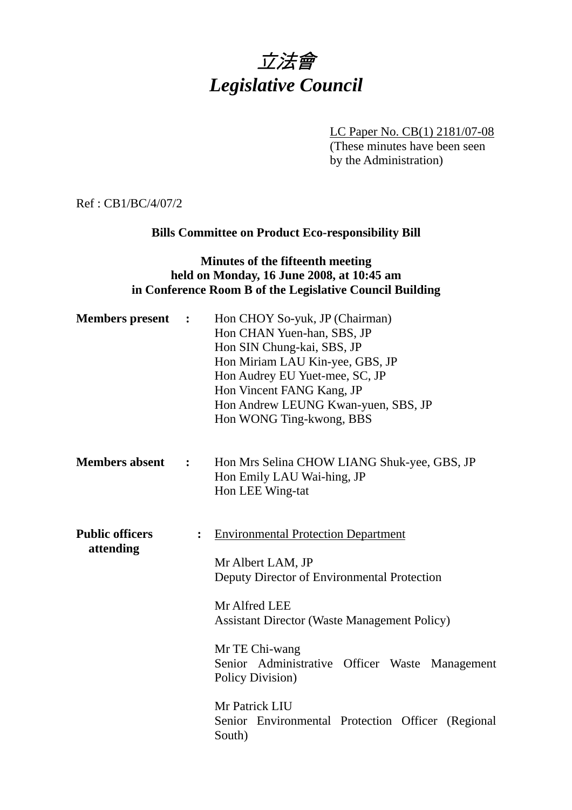# 立法會 *Legislative Council*

LC Paper No. CB(1) 2181/07-08

(These minutes have been seen by the Administration)

Ref : CB1/BC/4/07/2

## **Bills Committee on Product Eco-responsibility Bill**

#### **Minutes of the fifteenth meeting held on Monday, 16 June 2008, at 10:45 am in Conference Room B of the Legislative Council Building**

| <b>Members</b> present              | $\ddot{\phantom{1}}$ | Hon CHOY So-yuk, JP (Chairman)<br>Hon CHAN Yuen-han, SBS, JP<br>Hon SIN Chung-kai, SBS, JP<br>Hon Miriam LAU Kin-yee, GBS, JP<br>Hon Audrey EU Yuet-mee, SC, JP<br>Hon Vincent FANG Kang, JP<br>Hon Andrew LEUNG Kwan-yuen, SBS, JP<br>Hon WONG Ting-kwong, BBS                                                                                                 |
|-------------------------------------|----------------------|-----------------------------------------------------------------------------------------------------------------------------------------------------------------------------------------------------------------------------------------------------------------------------------------------------------------------------------------------------------------|
| <b>Members absent</b>               | $\ddot{\cdot}$       | Hon Mrs Selina CHOW LIANG Shuk-yee, GBS, JP<br>Hon Emily LAU Wai-hing, JP<br>Hon LEE Wing-tat                                                                                                                                                                                                                                                                   |
| <b>Public officers</b><br>attending | $\ddot{\cdot}$       | <b>Environmental Protection Department</b><br>Mr Albert LAM, JP<br>Deputy Director of Environmental Protection<br>Mr Alfred LEE<br><b>Assistant Director (Waste Management Policy)</b><br>Mr TE Chi-wang<br>Senior Administrative Officer Waste Management<br>Policy Division)<br>Mr Patrick LIU<br>Senior Environmental Protection Officer (Regional<br>South) |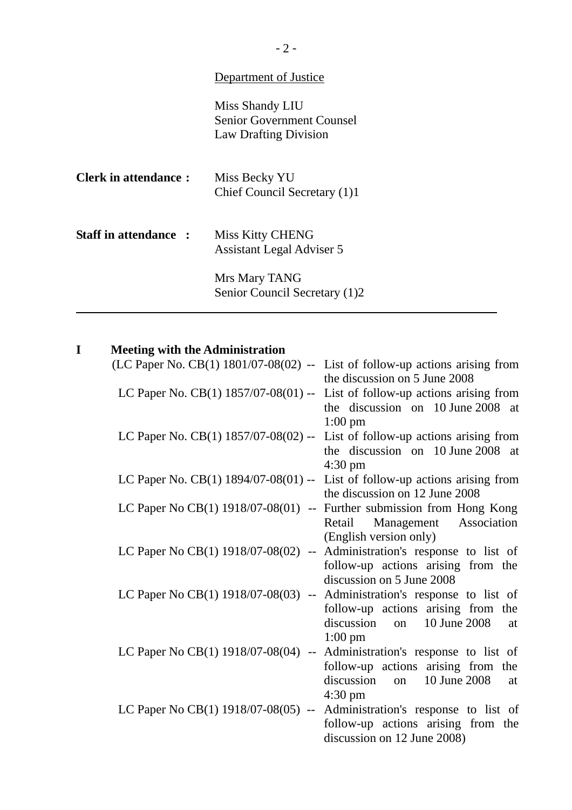## Department of Justice

Miss Shandy LIU Senior Government Counsel Law Drafting Division

| <b>Clerk in attendance:</b>  | Miss Becky YU<br>Chief Council Secretary (1)1 |
|------------------------------|-----------------------------------------------|
| <b>Staff in attendance :</b> | Miss Kitty CHENG<br>Assistant Legal Adviser 5 |
|                              | Mrs Mary TANG                                 |

Senior Council Secretary (1)2

## **I Meeting with the Administration**

l

| (LC Paper No. CB(1) $1801/07-08(02)$ -- List of follow-up actions arising from    |                                         |
|-----------------------------------------------------------------------------------|-----------------------------------------|
|                                                                                   | the discussion on 5 June 2008           |
| LC Paper No. CB(1) $1857/07-08(01)$ --                                            | List of follow-up actions arising from  |
|                                                                                   | the discussion on 10 June 2008<br>at    |
|                                                                                   | $1:00$ pm                               |
| LC Paper No. CB $(1)$ 1857/07-08 $(02)$ -- List of follow-up actions arising from |                                         |
|                                                                                   | the discussion on 10 June 2008 at       |
|                                                                                   | $4:30 \text{ pm}$                       |
| LC Paper No. $CB(1)$ 1894/07-08(01) -- List of follow-up actions arising from     |                                         |
|                                                                                   | the discussion on 12 June 2008          |
| LC Paper No CB $(1)$ 1918/07-08 $(01)$<br>$\mathbb{H}^{\mathbb{H}}$               | Further submission from Hong Kong       |
|                                                                                   | Management Association<br>Retail        |
|                                                                                   | (English version only)                  |
| LC Paper No CB(1) 1918/07-08(02)                                                  | -- Administration's response to list of |
|                                                                                   | follow-up actions arising from the      |
|                                                                                   | discussion on 5 June 2008               |
| LC Paper No CB(1) 1918/07-08(03)<br>$\overline{\phantom{a}}$                      | Administration's response to list of    |
|                                                                                   | follow-up actions arising from the      |
|                                                                                   | discussion<br>10 June 2008<br>on<br>at  |
|                                                                                   | $1:00 \text{ pm}$                       |
| LC Paper No CB $(1)$ 1918/07-08 $(04)$<br>$\mathbb{L}^{\perp}$                    | Administration's response to list of    |
|                                                                                   | follow-up actions arising from the      |
|                                                                                   | discussion<br>10 June 2008<br>on<br>at  |
|                                                                                   | $4:30 \text{ pm}$                       |
| LC Paper No CB(1) 1918/07-08(05) --                                               | Administration's response to list of    |
|                                                                                   | follow-up actions arising from the      |
|                                                                                   | discussion on 12 June 2008)             |
|                                                                                   |                                         |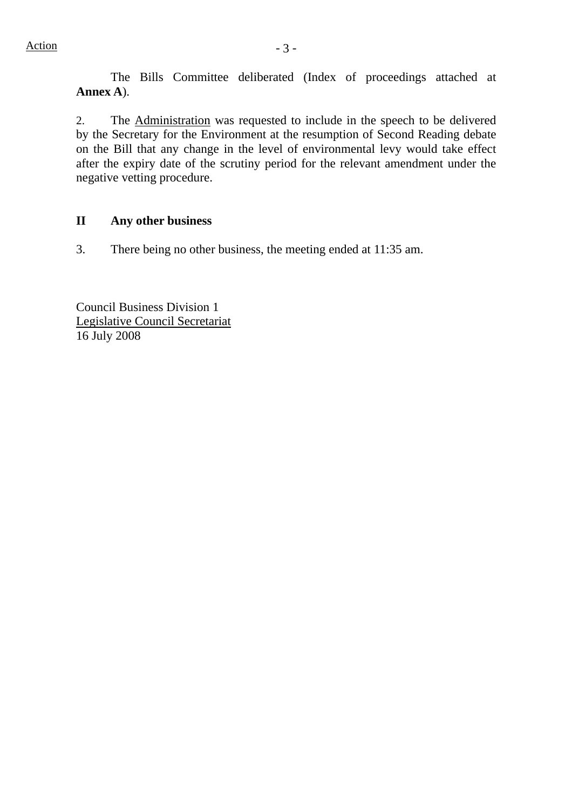The Bills Committee deliberated (Index of proceedings attached at **Annex A**).

2. The Administration was requested to include in the speech to be delivered by the Secretary for the Environment at the resumption of Second Reading debate on the Bill that any change in the level of environmental levy would take effect after the expiry date of the scrutiny period for the relevant amendment under the negative vetting procedure.

#### **II Any other business**

3. There being no other business, the meeting ended at 11:35 am.

Council Business Division 1 Legislative Council Secretariat 16 July 2008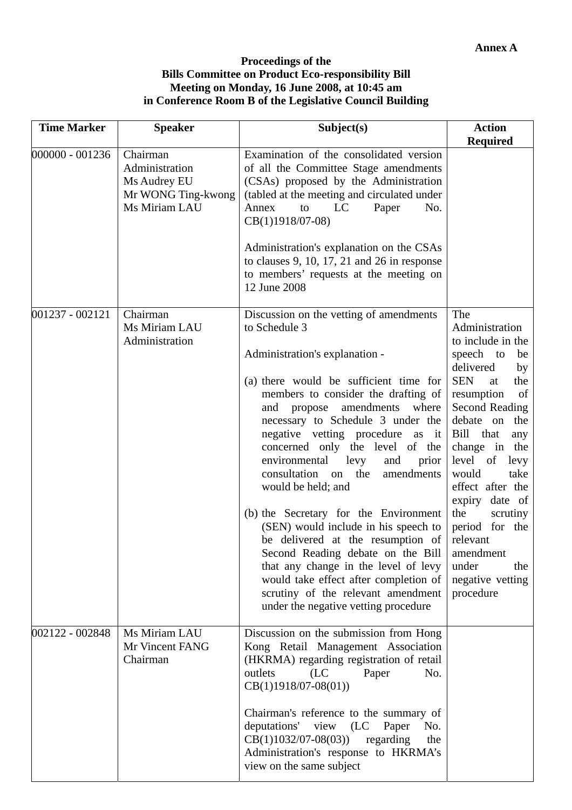#### **Proceedings of the Bills Committee on Product Eco-responsibility Bill Meeting on Monday, 16 June 2008, at 10:45 am in Conference Room B of the Legislative Council Building**

| <b>Time Marker</b> | <b>Speaker</b>                                                                    | Subject(s)                                                                                                                                                                                                                                                                                                                                                                                                                                                                                                                                                                                                                                                          | <b>Action</b>                                                                                                                                                                                                                                                                                                    |
|--------------------|-----------------------------------------------------------------------------------|---------------------------------------------------------------------------------------------------------------------------------------------------------------------------------------------------------------------------------------------------------------------------------------------------------------------------------------------------------------------------------------------------------------------------------------------------------------------------------------------------------------------------------------------------------------------------------------------------------------------------------------------------------------------|------------------------------------------------------------------------------------------------------------------------------------------------------------------------------------------------------------------------------------------------------------------------------------------------------------------|
|                    |                                                                                   |                                                                                                                                                                                                                                                                                                                                                                                                                                                                                                                                                                                                                                                                     | <b>Required</b>                                                                                                                                                                                                                                                                                                  |
| 000000 - 001236    | Chairman<br>Administration<br>Ms Audrey EU<br>Mr WONG Ting-kwong<br>Ms Miriam LAU | Examination of the consolidated version<br>of all the Committee Stage amendments<br>(CSAs) proposed by the Administration<br>(tabled at the meeting and circulated under<br>Annex<br>to<br>Paper<br>LC<br>No.<br>CB(1)1918/07-08)                                                                                                                                                                                                                                                                                                                                                                                                                                   |                                                                                                                                                                                                                                                                                                                  |
|                    |                                                                                   | Administration's explanation on the CSAs<br>to clauses $9$ , 10, 17, 21 and 26 in response<br>to members' requests at the meeting on<br>12 June 2008                                                                                                                                                                                                                                                                                                                                                                                                                                                                                                                |                                                                                                                                                                                                                                                                                                                  |
| 001237 - 002121    | Chairman<br>Ms Miriam LAU<br>Administration                                       | Discussion on the vetting of amendments<br>to Schedule 3                                                                                                                                                                                                                                                                                                                                                                                                                                                                                                                                                                                                            | The<br>Administration<br>to include in the                                                                                                                                                                                                                                                                       |
|                    |                                                                                   | Administration's explanation -                                                                                                                                                                                                                                                                                                                                                                                                                                                                                                                                                                                                                                      | speech to<br>be<br>delivered<br>by                                                                                                                                                                                                                                                                               |
|                    |                                                                                   | (a) there would be sufficient time for<br>members to consider the drafting of<br>and propose<br>amendments<br>where<br>necessary to Schedule 3 under the<br>negative vetting procedure as it<br>concerned only the level of the<br>environmental<br>levy<br>and<br>prior<br>consultation<br>the<br>amendments<br>on<br>would be held; and<br>(b) the Secretary for the Environment<br>(SEN) would include in his speech to<br>be delivered at the resumption of<br>Second Reading debate on the Bill<br>that any change in the level of levy<br>would take effect after completion of<br>scrutiny of the relevant amendment<br>under the negative vetting procedure | <b>SEN</b><br>the<br>at<br>resumption<br>of<br>Second Reading<br>debate on<br>the<br>Bill that<br>any<br>change in the<br>level of<br>levy<br>would<br>take<br>effect after the<br>expiry date of<br>the<br>scrutiny<br>period for the<br>relevant<br>amendment<br>under<br>the<br>negative vetting<br>procedure |
| 002122 - 002848    | Ms Miriam LAU<br>Mr Vincent FANG<br>Chairman                                      | Discussion on the submission from Hong<br>Kong Retail Management Association<br>(HKRMA) regarding registration of retail<br>outlets<br>(LC)<br>Paper<br>No.<br>$CB(1)1918/07-08(01))$<br>Chairman's reference to the summary of                                                                                                                                                                                                                                                                                                                                                                                                                                     |                                                                                                                                                                                                                                                                                                                  |
|                    |                                                                                   | deputations' view (LC<br>Paper<br>No.<br>$CB(1)1032/07-08(03))$<br>regarding<br>the<br>Administration's response to HKRMA's<br>view on the same subject                                                                                                                                                                                                                                                                                                                                                                                                                                                                                                             |                                                                                                                                                                                                                                                                                                                  |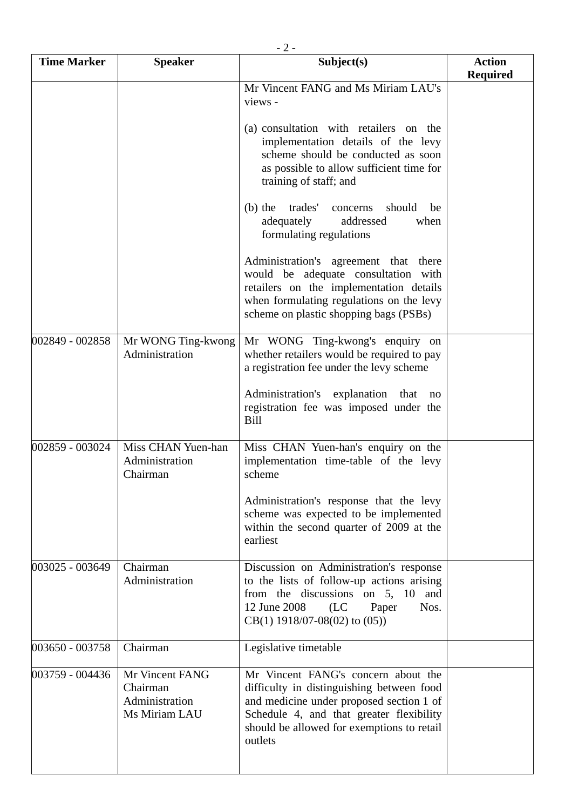| $-2-$              |                                                                |                                                                                                                                                                                                                                   |                                  |  |
|--------------------|----------------------------------------------------------------|-----------------------------------------------------------------------------------------------------------------------------------------------------------------------------------------------------------------------------------|----------------------------------|--|
| <b>Time Marker</b> | <b>Speaker</b>                                                 | Subject(s)                                                                                                                                                                                                                        | <b>Action</b><br><b>Required</b> |  |
|                    |                                                                | Mr Vincent FANG and Ms Miriam LAU's<br>views -                                                                                                                                                                                    |                                  |  |
|                    |                                                                | (a) consultation with retailers on the<br>implementation details of the levy<br>scheme should be conducted as soon<br>as possible to allow sufficient time for<br>training of staff; and                                          |                                  |  |
|                    |                                                                | (b) the trades'<br>should<br>concerns<br>be<br>adequately<br>addressed<br>when<br>formulating regulations                                                                                                                         |                                  |  |
|                    |                                                                | Administration's agreement that there<br>would be adequate consultation with<br>retailers on the implementation details<br>when formulating regulations on the levy<br>scheme on plastic shopping bags (PSBs)                     |                                  |  |
| 002849 - 002858    | Mr WONG Ting-kwong<br>Administration                           | Mr WONG Ting-kwong's enquiry on<br>whether retailers would be required to pay<br>a registration fee under the levy scheme                                                                                                         |                                  |  |
|                    |                                                                | Administration's explanation that<br>no<br>registration fee was imposed under the<br>Bill                                                                                                                                         |                                  |  |
| 002859 - 003024    | Miss CHAN Yuen-han<br>Administration<br>Chairman               | Miss CHAN Yuen-han's enquiry on the<br>implementation time-table of the levy<br>scheme                                                                                                                                            |                                  |  |
|                    |                                                                | Administration's response that the levy<br>scheme was expected to be implemented<br>within the second quarter of 2009 at the<br>earliest                                                                                          |                                  |  |
| 003025 - 003649    | Chairman<br>Administration                                     | Discussion on Administration's response<br>to the lists of follow-up actions arising<br>from the discussions on 5, 10 and<br>12 June 2008 (LC<br>Nos.<br>Paper<br>$CB(1)$ 1918/07-08(02) to (05))                                 |                                  |  |
| 003650 - 003758    | Chairman                                                       | Legislative timetable                                                                                                                                                                                                             |                                  |  |
| 003759 - 004436    | Mr Vincent FANG<br>Chairman<br>Administration<br>Ms Miriam LAU | Mr Vincent FANG's concern about the<br>difficulty in distinguishing between food<br>and medicine under proposed section 1 of<br>Schedule 4, and that greater flexibility<br>should be allowed for exemptions to retail<br>outlets |                                  |  |